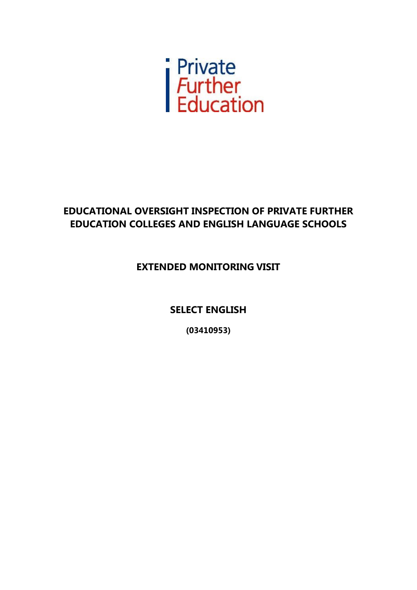

# **EDUCATIONAL OVERSIGHT INSPECTION OF PRIVATE FURTHER EDUCATION COLLEGES AND ENGLISH LANGUAGE SCHOOLS**

## **EXTENDED MONITORING VISIT**

**SELECT ENGLISH**

**(03410953)**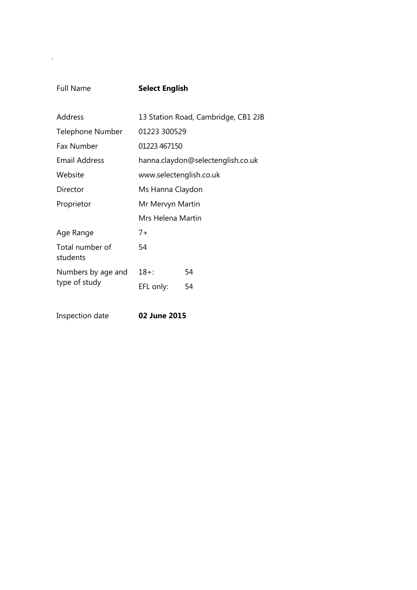.

### Full Name **Select English**

| Address                     | 13 Station Road, Cambridge, CB1 2JB |    |  |
|-----------------------------|-------------------------------------|----|--|
| Telephone Number            | 01223 300529                        |    |  |
| <b>Fax Number</b>           | 01223 467150                        |    |  |
| Email Address               | hanna.claydon@selectenglish.co.uk   |    |  |
| Website                     | www.selectenglish.co.uk             |    |  |
| Director                    | Ms Hanna Claydon                    |    |  |
| Proprietor                  | Mr Mervyn Martin                    |    |  |
|                             | Mrs Helena Martin                   |    |  |
| Age Range                   | $7+$                                |    |  |
| Total number of<br>students | 54                                  |    |  |
| Numbers by age and          | 18+:                                | 54 |  |
| type of study               | EFL only:                           | 54 |  |
|                             |                                     |    |  |

Inspection date **02 June 2015**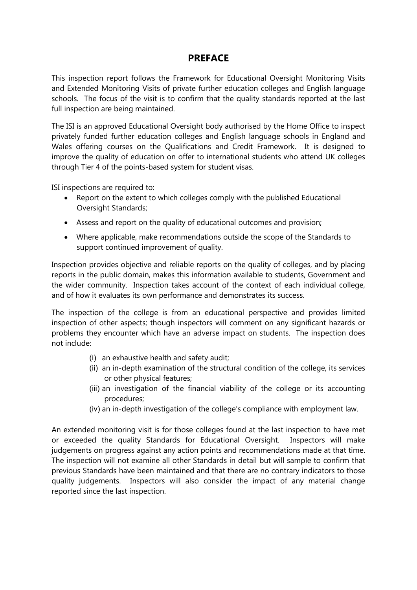#### **PREFACE**

This inspection report follows the Framework for Educational Oversight Monitoring Visits and Extended Monitoring Visits of private further education colleges and English language schools. The focus of the visit is to confirm that the quality standards reported at the last full inspection are being maintained.

The ISI is an approved Educational Oversight body authorised by the Home Office to inspect privately funded further education colleges and English language schools in England and Wales offering courses on the Qualifications and Credit Framework. It is designed to improve the quality of education on offer to international students who attend UK colleges through Tier 4 of the points-based system for student visas.

ISI inspections are required to:

- Report on the extent to which colleges comply with the published Educational Oversight Standards;
- Assess and report on the quality of educational outcomes and provision;
- Where applicable, make recommendations outside the scope of the Standards to support continued improvement of quality.

Inspection provides objective and reliable reports on the quality of colleges, and by placing reports in the public domain, makes this information available to students, Government and the wider community. Inspection takes account of the context of each individual college, and of how it evaluates its own performance and demonstrates its success.

The inspection of the college is from an educational perspective and provides limited inspection of other aspects; though inspectors will comment on any significant hazards or problems they encounter which have an adverse impact on students. The inspection does not include:

- (i) an exhaustive health and safety audit;
- (ii) an in-depth examination of the structural condition of the college, its services or other physical features;
- (iii) an investigation of the financial viability of the college or its accounting procedures;
- (iv) an in-depth investigation of the college's compliance with employment law.

An extended monitoring visit is for those colleges found at the last inspection to have met or exceeded the quality Standards for Educational Oversight. Inspectors will make judgements on progress against any action points and recommendations made at that time. The inspection will not examine all other Standards in detail but will sample to confirm that previous Standards have been maintained and that there are no contrary indicators to those quality judgements. Inspectors will also consider the impact of any material change reported since the last inspection.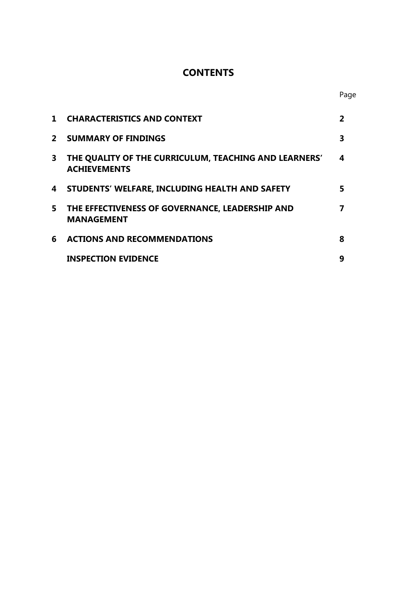## **CONTENTS**

| $\mathbf{1}$ | <b>CHARACTERISTICS AND CONTEXT</b>                                           | 2 |
|--------------|------------------------------------------------------------------------------|---|
| $\mathbf{2}$ | <b>SUMMARY OF FINDINGS</b>                                                   | 3 |
| 3            | THE QUALITY OF THE CURRICULUM, TEACHING AND LEARNERS'<br><b>ACHIEVEMENTS</b> | 4 |
| 4            | STUDENTS' WELFARE, INCLUDING HEALTH AND SAFETY                               | 5 |
| 5            | THE EFFECTIVENESS OF GOVERNANCE, LEADERSHIP AND<br><b>MANAGEMENT</b>         |   |
| 6            | <b>ACTIONS AND RECOMMENDATIONS</b>                                           | 8 |
|              | <b>INSPECTION EVIDENCE</b>                                                   | 9 |

Page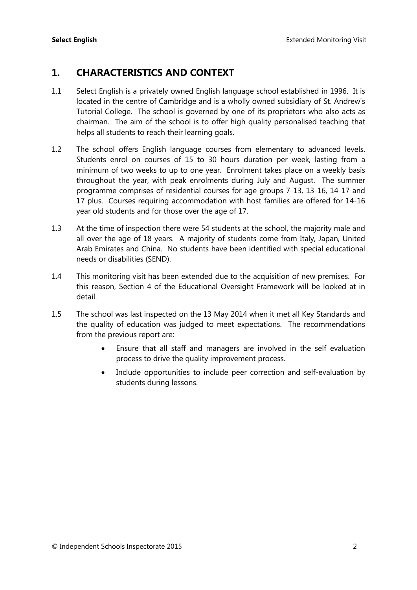### **1. CHARACTERISTICS AND CONTEXT**

- 1.1 Select English is a privately owned English language school established in 1996. It is located in the centre of Cambridge and is a wholly owned subsidiary of St. Andrew's Tutorial College. The school is governed by one of its proprietors who also acts as chairman. The aim of the school is to offer high quality personalised teaching that helps all students to reach their learning goals.
- 1.2 The school offers English language courses from elementary to advanced levels. Students enrol on courses of 15 to 30 hours duration per week, lasting from a minimum of two weeks to up to one year. Enrolment takes place on a weekly basis throughout the year, with peak enrolments during July and August. The summer programme comprises of residential courses for age groups 7-13, 13-16, 14-17 and 17 plus. Courses requiring accommodation with host families are offered for 14-16 year old students and for those over the age of 17.
- 1.3 At the time of inspection there were 54 students at the school, the majority male and all over the age of 18 years. A majority of students come from Italy, Japan, United Arab Emirates and China. No students have been identified with special educational needs or disabilities (SEND).
- 1.4 This monitoring visit has been extended due to the acquisition of new premises. For this reason, Section 4 of the Educational Oversight Framework will be looked at in detail.
- 1.5 The school was last inspected on the 13 May 2014 when it met all Key Standards and the quality of education was judged to meet expectations. The recommendations from the previous report are:
	- Ensure that all staff and managers are involved in the self evaluation process to drive the quality improvement process.
	- Include opportunities to include peer correction and self-evaluation by students during lessons.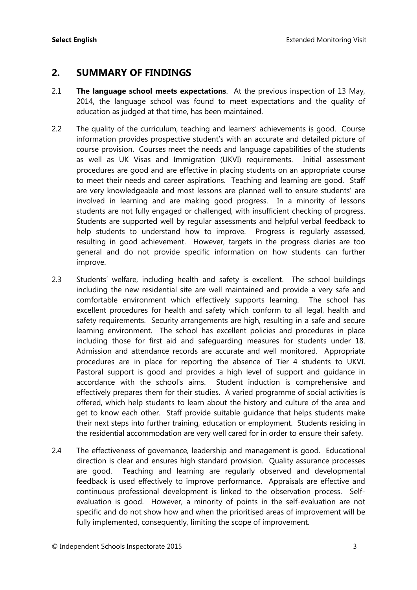#### **2. SUMMARY OF FINDINGS**

- 2.1 **The language school meets expectations**. At the previous inspection of 13 May, 2014, the language school was found to meet expectations and the quality of education as judged at that time, has been maintained.
- 2.2 The quality of the curriculum, teaching and learners' achievements is good. Course information provides prospective student's with an accurate and detailed picture of course provision. Courses meet the needs and language capabilities of the students as well as UK Visas and Immigration (UKVI) requirements. Initial assessment procedures are good and are effective in placing students on an appropriate course to meet their needs and career aspirations. Teaching and learning are good. Staff are very knowledgeable and most lessons are planned well to ensure students' are involved in learning and are making good progress. In a minority of lessons students are not fully engaged or challenged, with insufficient checking of progress. Students are supported well by regular assessments and helpful verbal feedback to help students to understand how to improve. Progress is regularly assessed, resulting in good achievement. However, targets in the progress diaries are too general and do not provide specific information on how students can further improve.
- 2.3 Students' welfare, including health and safety is excellent. The school buildings including the new residential site are well maintained and provide a very safe and comfortable environment which effectively supports learning. The school has excellent procedures for health and safety which conform to all legal, health and safety requirements. Security arrangements are high, resulting in a safe and secure learning environment. The school has excellent policies and procedures in place including those for first aid and safeguarding measures for students under 18. Admission and attendance records are accurate and well monitored. Appropriate procedures are in place for reporting the absence of Tier 4 students to UKVI. Pastoral support is good and provides a high level of support and guidance in accordance with the school's aims. Student induction is comprehensive and effectively prepares them for their studies. A varied programme of social activities is offered, which help students to learn about the history and culture of the area and get to know each other. Staff provide suitable guidance that helps students make their next steps into further training, education or employment. Students residing in the residential accommodation are very well cared for in order to ensure their safety.
- 2.4 The effectiveness of governance, leadership and management is good. Educational direction is clear and ensures high standard provision. Quality assurance processes are good. Teaching and learning are regularly observed and developmental feedback is used effectively to improve performance. Appraisals are effective and continuous professional development is linked to the observation process. Selfevaluation is good. However, a minority of points in the self-evaluation are not specific and do not show how and when the prioritised areas of improvement will be fully implemented, consequently, limiting the scope of improvement.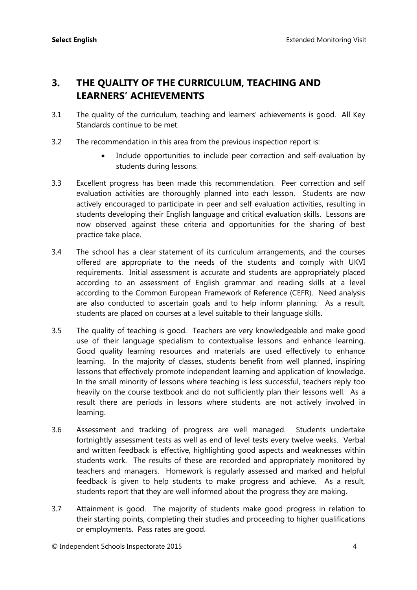## **3. THE QUALITY OF THE CURRICULUM, TEACHING AND LEARNERS' ACHIEVEMENTS**

- 3.1 The quality of the curriculum, teaching and learners' achievements is good. All Key Standards continue to be met.
- 3.2 The recommendation in this area from the previous inspection report is:
	- Include opportunities to include peer correction and self-evaluation by students during lessons.
- 3.3 Excellent progress has been made this recommendation. Peer correction and self evaluation activities are thoroughly planned into each lesson. Students are now actively encouraged to participate in peer and self evaluation activities, resulting in students developing their English language and critical evaluation skills. Lessons are now observed against these criteria and opportunities for the sharing of best practice take place.
- 3.4 The school has a clear statement of its curriculum arrangements, and the courses offered are appropriate to the needs of the students and comply with UKVI requirements. Initial assessment is accurate and students are appropriately placed according to an assessment of English grammar and reading skills at a level according to the Common European Framework of Reference (CEFR). Need analysis are also conducted to ascertain goals and to help inform planning. As a result, students are placed on courses at a level suitable to their language skills.
- 3.5 The quality of teaching is good. Teachers are very knowledgeable and make good use of their language specialism to contextualise lessons and enhance learning. Good quality learning resources and materials are used effectively to enhance learning. In the majority of classes, students benefit from well planned, inspiring lessons that effectively promote independent learning and application of knowledge. In the small minority of lessons where teaching is less successful, teachers reply too heavily on the course textbook and do not sufficiently plan their lessons well. As a result there are periods in lessons where students are not actively involved in learning.
- 3.6 Assessment and tracking of progress are well managed. Students undertake fortnightly assessment tests as well as end of level tests every twelve weeks. Verbal and written feedback is effective, highlighting good aspects and weaknesses within students work. The results of these are recorded and appropriately monitored by teachers and managers. Homework is regularly assessed and marked and helpful feedback is given to help students to make progress and achieve. As a result, students report that they are well informed about the progress they are making.
- 3.7 Attainment is good. The majority of students make good progress in relation to their starting points, completing their studies and proceeding to higher qualifications or employments. Pass rates are good.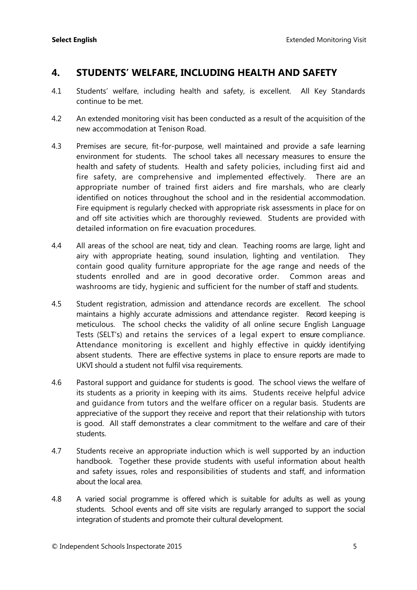### **4. STUDENTS' WELFARE, INCLUDING HEALTH AND SAFETY**

- 4.1 Students' welfare, including health and safety, is excellent. All Key Standards continue to be met.
- 4.2 An extended monitoring visit has been conducted as a result of the acquisition of the new accommodation at Tenison Road.
- 4.3 Premises are secure, fit-for-purpose, well maintained and provide a safe learning environment for students. The school takes all necessary measures to ensure the health and safety of students. Health and safety policies, including first aid and fire safety, are comprehensive and implemented effectively. There are an appropriate number of trained first aiders and fire marshals, who are clearly identified on notices throughout the school and in the residential accommodation. Fire equipment is regularly checked with appropriate risk assessments in place for on and off site activities which are thoroughly reviewed. Students are provided with detailed information on fire evacuation procedures.
- 4.4 All areas of the school are neat, tidy and clean. Teaching rooms are large, light and airy with appropriate heating, sound insulation, lighting and ventilation. They contain good quality furniture appropriate for the age range and needs of the students enrolled and are in good decorative order. Common areas and washrooms are tidy, hygienic and sufficient for the number of staff and students.
- 4.5 Student registration, admission and attendance records are excellent. The school maintains a highly accurate admissions and attendance register. Record keeping is meticulous. The school checks the validity of all online secure English Language Tests (SELT's) and retains the services of a legal expert to ensure compliance. Attendance monitoring is excellent and highly effective in quickly identifying absent students. There are effective systems in place to ensure reports are made to UKVI should a student not fulfil visa requirements.
- 4.6 Pastoral support and guidance for students is good. The school views the welfare of its students as a priority in keeping with its aims. Students receive helpful advice and guidance from tutors and the welfare officer on a regular basis. Students are appreciative of the support they receive and report that their relationship with tutors is good. All staff demonstrates a clear commitment to the welfare and care of their students.
- 4.7 Students receive an appropriate induction which is well supported by an induction handbook. Together these provide students with useful information about health and safety issues, roles and responsibilities of students and staff, and information about the local area.
- 4.8 A varied social programme is offered which is suitable for adults as well as young students. School events and off site visits are regularly arranged to support the social integration of students and promote their cultural development.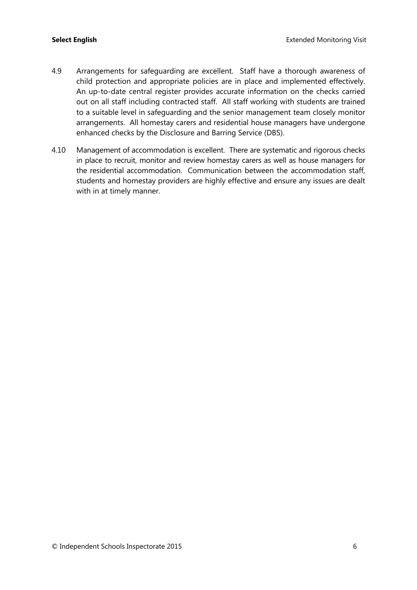- 4.9 Arrangements for safeguarding are excellent. Staff have a thorough awareness of child protection and appropriate policies are in place and implemented effectively. An up-to-date central register provides accurate information on the checks carried out on all staff including contracted staff. All staff working with students are trained to a suitable level in safeguarding and the senior management team closely monitor arrangements. All homestay carers and residential house managers have undergone enhanced checks by the Disclosure and Barring Service (DBS).
- 4.10 Management of accommodation is excellent. There are systematic and rigorous checks in place to recruit, monitor and review homestay carers as well as house managers for the residential accommodation. Communication between the accommodation staff, students and homestay providers are highly effective and ensure any issues are dealt with in at timely manner.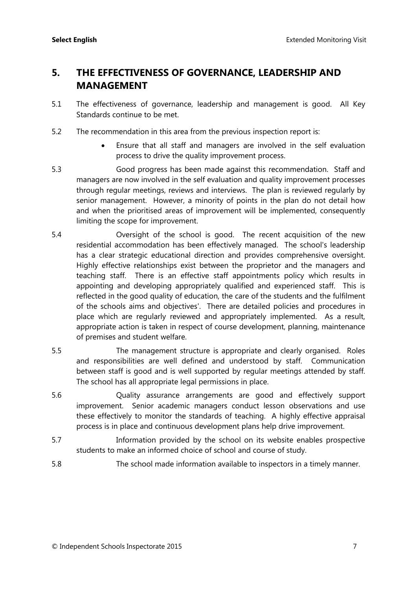## **5. THE EFFECTIVENESS OF GOVERNANCE, LEADERSHIP AND MANAGEMENT**

- 5.1 The effectiveness of governance, leadership and management is good. All Key Standards continue to be met.
- 5.2 The recommendation in this area from the previous inspection report is:
	- Ensure that all staff and managers are involved in the self evaluation process to drive the quality improvement process.
- 5.3 Good progress has been made against this recommendation. Staff and managers are now involved in the self evaluation and quality improvement processes through regular meetings, reviews and interviews. The plan is reviewed regularly by senior management. However, a minority of points in the plan do not detail how and when the prioritised areas of improvement will be implemented, consequently limiting the scope for improvement.
- 5.4 Oversight of the school is good. The recent acquisition of the new residential accommodation has been effectively managed. The school's leadership has a clear strategic educational direction and provides comprehensive oversight. Highly effective relationships exist between the proprietor and the managers and teaching staff. There is an effective staff appointments policy which results in appointing and developing appropriately qualified and experienced staff. This is reflected in the good quality of education, the care of the students and the fulfilment of the schools aims and objectives'. There are detailed policies and procedures in place which are regularly reviewed and appropriately implemented. As a result, appropriate action is taken in respect of course development, planning, maintenance of premises and student welfare.
- 5.5 The management structure is appropriate and clearly organised. Roles and responsibilities are well defined and understood by staff. Communication between staff is good and is well supported by regular meetings attended by staff. The school has all appropriate legal permissions in place.
- 5.6 Quality assurance arrangements are good and effectively support improvement. Senior academic managers conduct lesson observations and use these effectively to monitor the standards of teaching. A highly effective appraisal process is in place and continuous development plans help drive improvement.
- 5.7 Information provided by the school on its website enables prospective students to make an informed choice of school and course of study.
- 5.8 The school made information available to inspectors in a timely manner.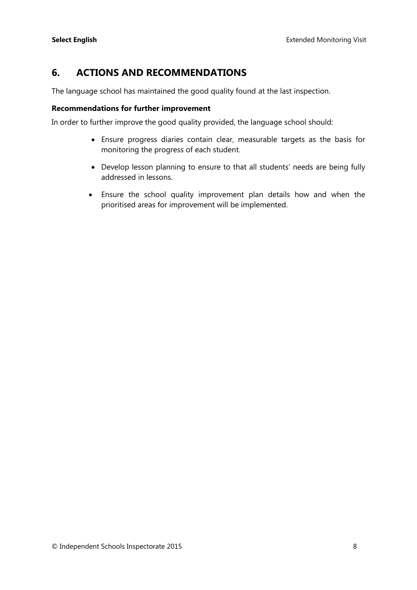## **6. ACTIONS AND RECOMMENDATIONS**

The language school has maintained the good quality found at the last inspection.

#### **Recommendations for further improvement**

In order to further improve the good quality provided, the language school should:

- Ensure progress diaries contain clear, measurable targets as the basis for monitoring the progress of each student.
- Develop lesson planning to ensure to that all students' needs are being fully addressed in lessons.
- Ensure the school quality improvement plan details how and when the prioritised areas for improvement will be implemented.